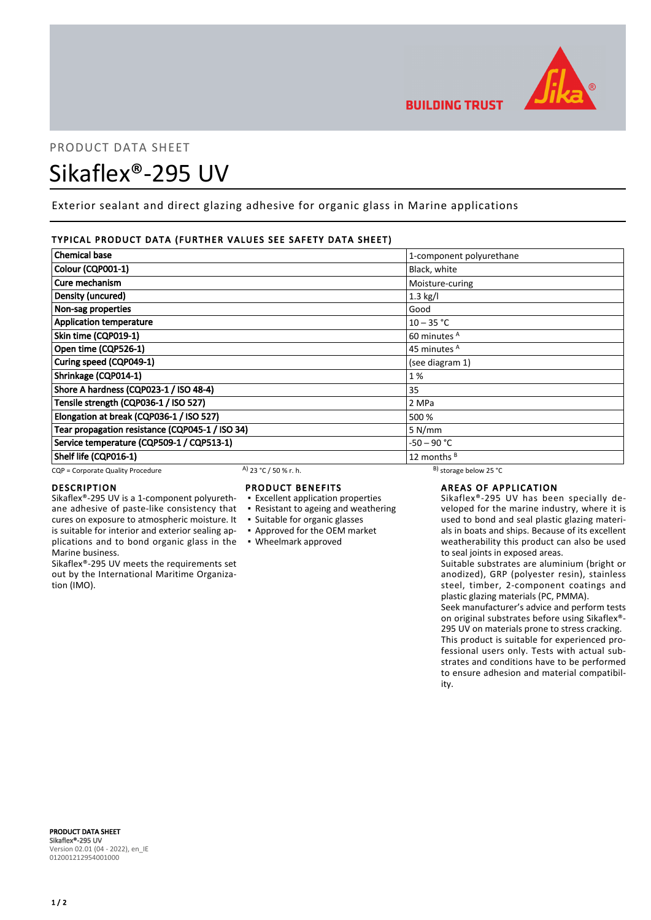

# PRODUCT DATA SHEET Sikaflex®-295 UV

Exterior sealant and direct glazing adhesive for organic glass in Marine applications

## TYPICAL PRODUCT DATA (FURTHER VALUES SEE SAFETY DATA SHEET)

| <b>Chemical base</b>                            |                       | 1-component polyurethane     |  |
|-------------------------------------------------|-----------------------|------------------------------|--|
| Colour (CQP001-1)                               |                       | Black, white                 |  |
| Cure mechanism                                  |                       | Moisture-curing              |  |
| Density (uncured)                               |                       | $1.3$ kg/l                   |  |
| Non-sag properties                              |                       | Good                         |  |
| <b>Application temperature</b>                  |                       | $10 - 35 °C$                 |  |
| Skin time (CQP019-1)                            |                       | 60 minutes <sup>A</sup>      |  |
| Open time (CQP526-1)                            |                       | 45 minutes <sup>A</sup>      |  |
| Curing speed (CQP049-1)                         |                       | (see diagram 1)              |  |
| Shrinkage (CQP014-1)                            |                       | 1%                           |  |
| Shore A hardness (CQP023-1 / ISO 48-4)          |                       | 35                           |  |
| Tensile strength (CQP036-1 / ISO 527)           |                       | 2 MPa                        |  |
| Elongation at break (CQP036-1 / ISO 527)        |                       | 500 %                        |  |
| Tear propagation resistance (CQP045-1 / ISO 34) |                       | 5 N/mm                       |  |
| Service temperature (CQP509-1 / CQP513-1)       |                       | -50 – 90 °C                  |  |
| Shelf life (CQP016-1)                           |                       | 12 months <sup>B</sup>       |  |
| CQP = Corporate Quality Procedure               | A) 23 °C / 50 % r. h. | $^{B}$ ) storage below 25 °C |  |

## DESCRIPTION

Marine business.

tion (IMO).

## PRODUCT BENEFITS

Sikaflex®-295 UV is a 1-component polyurethane adhesive of paste-like consistency that cures on exposure to atmospheric moisture. It is suitable for interior and exterior sealing ap-▪ Excellent application properties

Sikaflex®-295 UV meets the requirements set out by the International Maritime Organiza-

▪ Resistant to ageing and weathering ▪ Suitable for organic glasses ▪ Approved for the OEM market

plications and to bond organic glass in the ▪ Wheelmark approved

## AREAS OF APPLICATION

Sikaflex®-295 UV has been specially developed for the marine industry, where it is used to bond and seal plastic glazing materials in boats and ships. Because of its excellent weatherability this product can also be used to seal joints in exposed areas.

Suitable substrates are aluminium (bright or anodized), GRP (polyester resin), stainless steel, timber, 2-component coatings and plastic glazing materials (PC, PMMA).

Seek manufacturer's advice and perform tests on original substrates before using Sikaflex®- 295 UV on materials prone to stress cracking. This product is suitable for experienced professional users only. Tests with actual substrates and conditions have to be performed to ensure adhesion and material compatibility.

PRODUCT DATA SHEET Sikaflex®-295 UV Version 02.01 (04 - 2022), en\_IE 012001212954001000